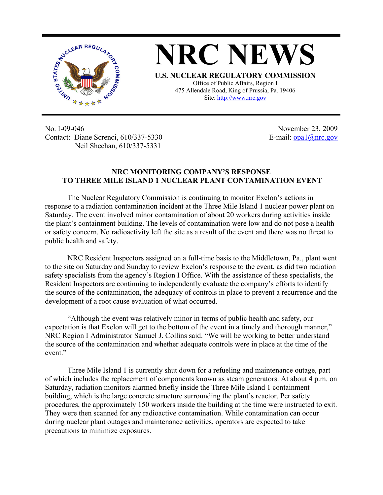

**NRC NEWS U.S. NUCLEAR REGULATORY COMMISSION** Office of Public Affairs, Region I

475 Allendale Road, King of Prussia, Pa. 19406 Site: http://www.nrc.gov

No. I-09-046 Contact: Diane Screnci, 610/337-5330 Neil Sheehan, 610/337-5331

November 23, 2009 E-mail:  $opal(\vec{a})$ nrc.gov

## **NRC MONITORING COMPANY'S RESPONSE TO THREE MILE ISLAND 1 NUCLEAR PLANT CONTAMINATION EVENT**

 The Nuclear Regulatory Commission is continuing to monitor Exelon's actions in response to a radiation contamination incident at the Three Mile Island 1 nuclear power plant on Saturday. The event involved minor contamination of about 20 workers during activities inside the plant's containment building. The levels of contamination were low and do not pose a health or safety concern. No radioactivity left the site as a result of the event and there was no threat to public health and safety.

NRC Resident Inspectors assigned on a full-time basis to the Middletown, Pa., plant went to the site on Saturday and Sunday to review Exelon's response to the event, as did two radiation safety specialists from the agency's Region I Office. With the assistance of these specialists, the Resident Inspectors are continuing to independently evaluate the company's efforts to identify the source of the contamination, the adequacy of controls in place to prevent a recurrence and the development of a root cause evaluation of what occurred.

 "Although the event was relatively minor in terms of public health and safety, our expectation is that Exelon will get to the bottom of the event in a timely and thorough manner," NRC Region I Administrator Samuel J. Collins said. "We will be working to better understand the source of the contamination and whether adequate controls were in place at the time of the event."

Three Mile Island 1 is currently shut down for a refueling and maintenance outage, part of which includes the replacement of components known as steam generators. At about 4 p.m. on Saturday, radiation monitors alarmed briefly inside the Three Mile Island 1 containment building, which is the large concrete structure surrounding the plant's reactor. Per safety procedures, the approximately 150 workers inside the building at the time were instructed to exit. They were then scanned for any radioactive contamination. While contamination can occur during nuclear plant outages and maintenance activities, operators are expected to take precautions to minimize exposures.